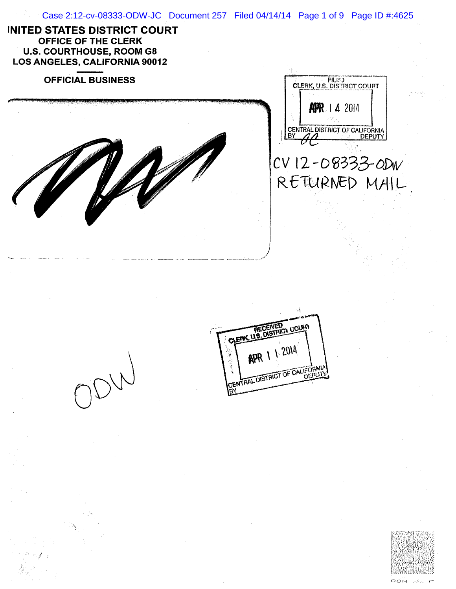



 $\overline{C}$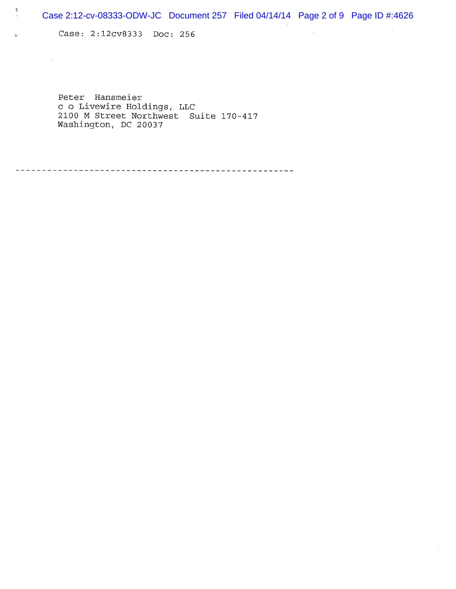$\sim 10^7$ 

 $\mathcal{L}$ 

Case: 2:12cv8333 Doc: 256

 $\mathfrak{\dot{y}}$ 

ó

 $\mathcal{A}^{\text{max}}_{\text{max}}$ 

Peter Hansmeier c 0 Livewire Holdings, LLC 2100 M Street Northwest Suite 170-417 Washington, DC 20037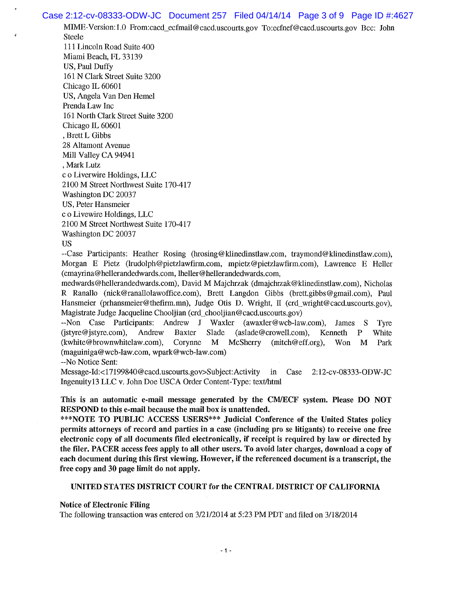## Case 2:12-cv-08333-ODW-JC Document 257 Filed 04/14/14 Page 3 of 9 Page ID #:4627

MIME-Version: 1.0 From:cacd\_ecfmail@cacd.uscourts.gov To:ecfnef@cacd.uscourts.gov Bcc: John Steele 111 Lincoln Road Suite 400 Miami Beach, FL 33139 US, Paul Duffy 161 N Clark Street Suite 3200 Chicago IL 60601 US, Angela Van Den Hemel Prenda Law Inc 161 North Clark Street Suite 3200 Chicago IL 60601

Brett L Gibbs 28 Altamont Avenue Mill Valley CA 94941 Mark Lutz c o Liverwire Holdings, LLC 2100 M Street Northwest Suite 170-417 Washington DC 20037 US, Peter Hansmeier c o Livewire Holdings, LLC 2100 M Street Northwest Suite 170-417 Washington DC 20037

US

--Case Participants: Heather Rosing (hrosing@klinedinstlaw.com, traymond@klinedinstlaw.com), Morgan E Pietz (lrudolph@pietzlawfirm.com, mpietz@pietzlawfirm.com), Lawrence E Heller (cmayrina@hellerandedwards.com, lheller@hellerandedwards.com,

medwards@hellerandedwards.com), David M Majchrzak (dmajchrzak@klinedinstlaw.com ), Nicholas R Ranallo (nick@ranallolawoffice.com), Brett Langdon Gibbs (brett.gibbs@gmail.com), Paul Hansmeier (prhansmeier@thefirm.mn), Judge Otis D. Wright, II (crd\_wright@cacd.uscourts.gov), Magistrate Judge Jacqueline Chooljian (crd\_chooljian@cacd.uscourts.gov)

--Non Case Participants: Andrew J Waxler (awaxler@wcb-law.com), James S Tyre (jstyre@jstyre.com ), Andrew Baxter Slade (aslade@crowell.com), Kenneth P White (kwhite@brownwhitelaw.com), Corynne M McSherry (mitch@eff.org), Won M Park (maguiniga@wcb-law.com, wpark@wcb-law.com)

--No Notice Sent:

Message-Id:< 17199840 @ cacd.uscourts.gov >Subject: Activity in Case 2: 12-cv-08333-ODW-JC Ingenuity 13 LLC v. John Doe USCA Order Content-Type: text/html

**This is an automatic e-mail message generated by the CMLECF system. Please DO NOT RESPOND to this e-mail because the mail** box is **unattended.** 

**\*\*\*NOTE TO PUBLIC ACCESS USERS\*\*\* Judicial Conference of the United States policy permits attorneys of record and parties in a case (including pro se litigants) to receive one free**  electronic copy of all documents filed electronically, if receipt is required by law or directed by **the filer. PACER access fees apply to all other users. To avoid later charges, download a copy of each document during this first viewing. However, if the referenced document is a transcript, the free copy and 30 page limit do not apply.** 

## **UNITED STATES DISTRICT COURT for the CENTRAL DISTRICT OF CALIFORNIA**

**Notice of Electronic Filing** 

The following transaction was entered on 3/21/2014 at 5:23 PM PDT and filed on 3/18/2014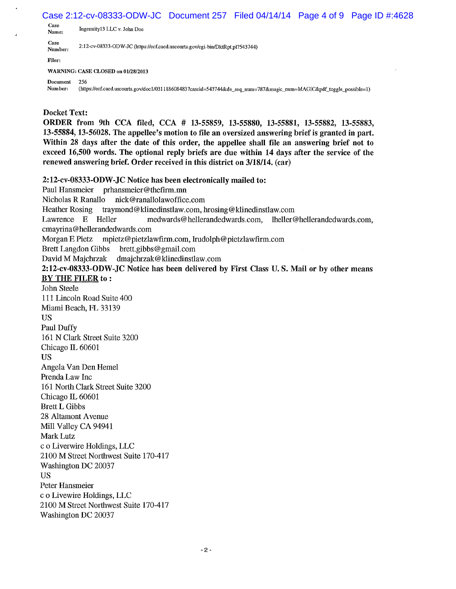Case 2:12-cv-08333-ODW-JC Document 257 Filed 04/14/14 Page 4 of 9 Page ID #:4628

Case<br>Name: Ingenuity13 LLC v. John Doe

Case<br>Number: 2:12-cv-08333-ODW-JC (https://ecf.cacd.uscourts.gov/cgi-bin/DktRpt.pl?543744)

Filer:

WARNING: CASE CLOSED on 01/28/2013

Document *256* 

Number: (https://ecf.cacd.uscourts.gov/doc1/031118608483?caseid=543744&de\_seq\_num=787&magic\_num=MAGIC&pdf\_toggle\_possible=1)

## **Docket Text:**

**ORDER from 9th CCA filed, CCA** # **13-55859, 13-55880, 13-55881,** *13-55882,* **13-55883, 13-55884, 13-56028. The appellee's motion to file an oversized answering brief is granted in part. Within 28 days after the date of this order, the appellee shall file an answering brief not to exceed 16,500 words. The optional reply briefs are due within 14 days after the service of the renewed answering brief. Order received in this district on 3/18/14. (car)** 

**2:12-cv-08333-ODW-JC Notice has been electronically mailed to:** 

Paul Hansmeier prhansmeier@thefirm.mn Nicholas R Ranallo nick@ranallolawoffice.com Heather Rosing traymond@klinedinstlaw.com, hrosing@klinedinstlaw.com Lawrence E Heller medwards@hellerandedwards.com, lheller@hellerandedwards.com, cmayrina@hellerandedwards.com Morgan E Pietz mpietz@pietzlawfirm.com, lrudolph@pietzlawfirm.com Brett Langdon Gibbs brett.gibbs@gmail.com David M Majchrzak dmajchrzak@klinedinstlaw.com **2:12-cv-08333-ODW-JC Notice has been delivered by First Class U. S. Mail or by other means BY THE FILER to: John Steele**  111 Lincoln Road Suite 400 Miami Beach, FL 33139 US Paul Duffy 161 N Clark Street Suite 3200 Chicago IL 60601 US Angela Van Den Hemel Prenda Law Inc 161 North Clark Street Suite 3200 Chicago IL 60601 Brett L Gibbs 28 Altamont Avenue Mill Valley CA 94941 Mark Lutz c o Liverwire Holdings, LLC 2100 M Street Northwest Suite 170-417 Washington DC 20037 US Peter Hansmeier c o Livewire Holdings, LLC 2100 M Street Northwest Suite 170-417 Washington DC 20037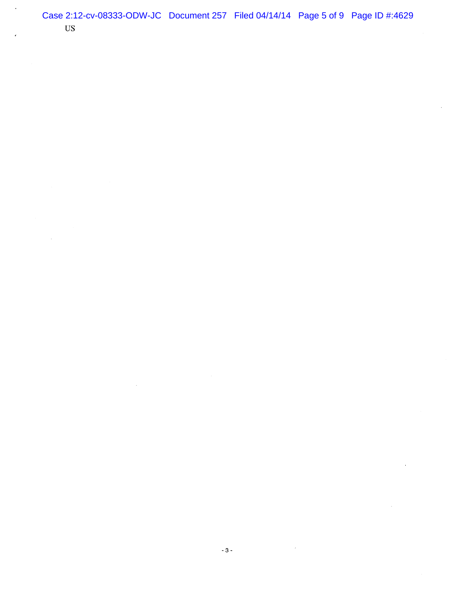l,

-3-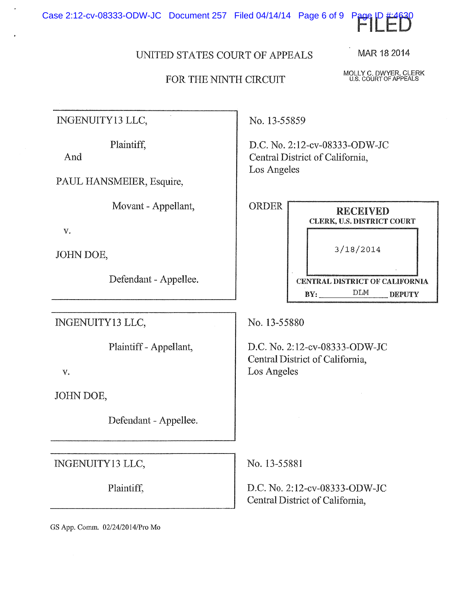Case 2:12-cv-08333-ODW-JC Document 257 Filed 04/14/14 Page 6 of 9 Pag



## FOR THE NINTH CIRCUIT

MOLLY C. DWYER, CLERK U.S. COURT OF APPEALS

MAR 18 2014

INGENUITY 13 LLC,

Plaintiff,

And

PAUL HANSMEIER, Esquire,

Movant - Appellant,

V.

JOHN DOE,

Defendant - Appellee.

INGENUITY 13 LLC,

Plaintiff - Appellant,

V.

JOHN DOE,

Defendant - Appellee.

INGENUITY 13 LLC, No. 13-55881

No. 13-55859

D.C. No. 2:12-cv-08333-0DW-JC Central District of California, Los Angeles

| ORDER | <b>RECEIVED</b><br><b>CLERK, U.S. DISTRICT COURT</b> |
|-------|------------------------------------------------------|
|       | 3/18/2014                                            |
|       | CENTRAL DISTRICT OF CALIFORNIA                       |
|       | DLM<br>RV.<br>DEPUTY                                 |

No. 13-55880

D.C. No, 2:12-cv-08333-0DW-JC Central District of California, Los Angeles

Plaintiff,  $\vert$  D.C. No. 2:12-cv-08333-ODW-JC Central District of California,

GS App, Comm. 02/24/201 4/Pro Mo

FILED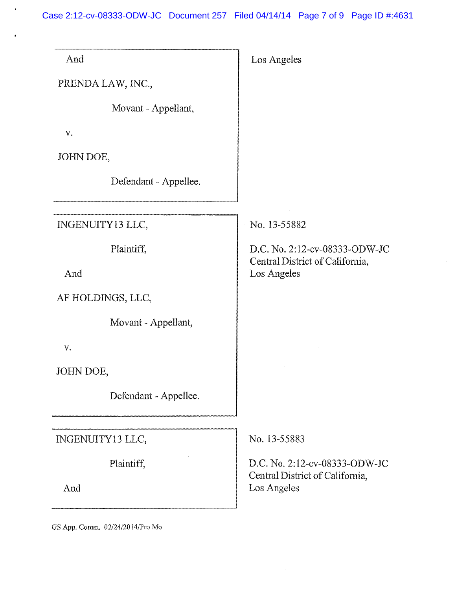Case 2:12-cv-08333-ODW-JC Document 257 Filed 04/14/14 Page 7 of 9 Page ID #:4631

 $\hat{\mathcal{E}}$ 

 $\bullet$ 

| And                             | Los Angeles                                                      |
|---------------------------------|------------------------------------------------------------------|
| PRENDA LAW, INC.,               |                                                                  |
| Movant - Appellant,             |                                                                  |
| V.                              |                                                                  |
| JOHN DOE,                       |                                                                  |
| Defendant - Appellee.           |                                                                  |
|                                 |                                                                  |
| INGENUITY13 LLC,                | No. 13-55882                                                     |
| Plaintiff,                      | D.C. No. 2:12-cv-08333-ODW-JC                                    |
| And                             | Central District of California,<br>Los Angeles                   |
| AF HOLDINGS, LLC,               |                                                                  |
| Movant - Appellant,             |                                                                  |
| V.                              |                                                                  |
| JOHN DOE,                       |                                                                  |
| Defendant - Appellee.           |                                                                  |
|                                 |                                                                  |
| INGENUITY13 LLC,                | No. 13-55883                                                     |
| Plaintiff,                      | D.C. No. 2:12-cv-08333-ODW-JC<br>Central District of California, |
| And                             | Los Angeles                                                      |
| GS App. Comm. 02/24/2014/Pro Mo |                                                                  |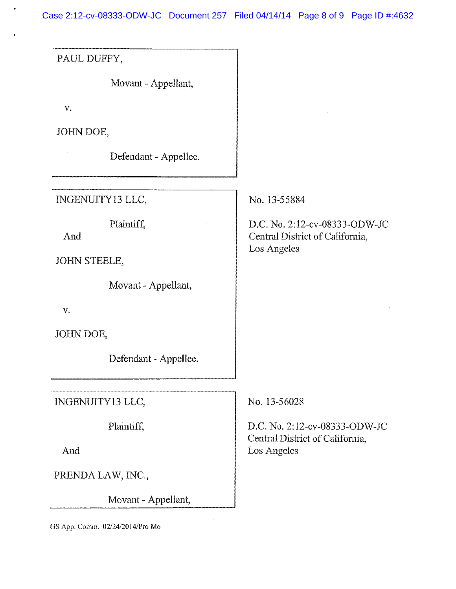Case 2:12-cv-08333-ODW-JC Document 257 Filed 04/14/14 Page 8 of 9 Page ID #:4632

PAUL DUFFY,

Movant - Appellant,

*V.* 

JOHN DOE,

Defendant - Appellee.

INGENUITY13 LLC,

PIaintiff,

And

JOHN STEELE,

Movant - Appellant,

V.

JOHN DOE,

Defendant - Appellee.

INGENUITY13 LLC,

Plaintiff,

And

PRENDA LAW, INC.,

Movant - Appellant,

GS App. Comm. 02/24/2014/Pro Mo

No. 13-55884

D.C. No. 2:12-cv-08333-ODW-JC Central District of California, Los Angeles

No. 13-56028

D.C. No. 2:12-cv-08333-ODW-JC Central District of California, Los Angeles